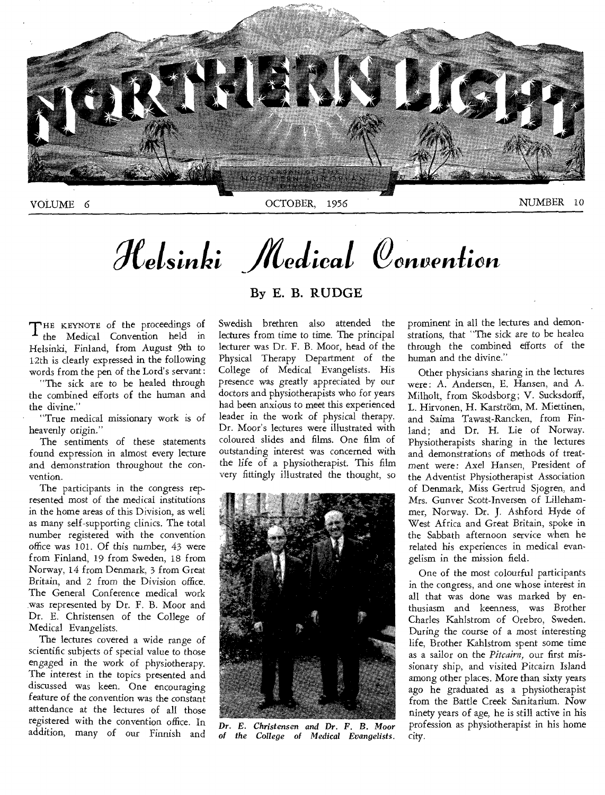

# **. .** *Xetstntet edical Oenveniion*

THE KEYNOTE of the proceedings of<br>the Medical Convention held in the Medical Convention held in Helsinki, Finland, from August 9th to 12th is clearly expressed in the following words from the pen of the Lord's servant:

"The sick are to be healed through the combined efforts of the human and the divine."

"True medical missionary work is of heavenly origin."

The sentiments of these statements found expression in almost every lecture and demonstration throughout the convention.

The participants in the congress represented most of the medical institutions in the home areas of this Division, as well as many self-supporting clinics. The total number registered with the convention office was 101. Of this number, 43 were from Finland, 19 from Sweden, 18 from Norway, 14 from Denmark, 3 from Great Britain, and 2 from the Division office. The General Conference medical work was represented by Dr. F. B. Moor and Dr. E. Christensen of the College of Medical Evangelists.

The lectures covered a wide range of scientific subjects of special value to those engaged in the work of physiotherapy. The interest in the topics presented and discussed was keen. One encouraging feature of the convention was the constant attendance at the lectures of all those registered with the convention office. In addition, many of our Finnish and

## By E. B. RUDGE

Swedish brethren also attended the lectures from time to time. The principal lecturer was Dr. F. B. Moor, head of the Physical Therapy Department of the College of Medical Evangelists. His presence was greatly appreciated by our doctors and physiotherapists who for years had been anxious to meet this experienced leader in the work of physical therapy. Dr. Moor's lectures were illustrated with coloured slides and films. One film of outstanding interest was concerned with the life of a physiotherapist. This film very fittingly illustrated the thought, so



*Dr. E. Christensen and Dr. F. B.* Moor *of the College of Medical Evangelists.* 

prominent in all the lectures and demonstrations, that "The sick are to be healed through the combined efforts of the human and the divine."

Other physicians sharing in the lectures were: A. Andersen, E. Hansen, and A. Milholt, from Skodsborg; V. Sucksdorff, L. Hirvonen, H. Karström, M. Miettinen, and Saima Tawast-Rancken, from Finland; and Dr. H. Lie of Norway. Physiotherapists sharing in the lectures and demonstrations of methods of treatment were: Axel Hansen, President of the Adventist Physiotherapist Association of Denmark, Miss Gertrud Sjogren, and Mrs. Gunver Scott-Inversen of Lillehammer, Norway. Dr. J. Ashford Hyde of West Africa and Great Britain, spoke in the Sabbath afternoon service when he related his experiences in medical evangelism in the mission field.

One of the most colourful participants in the congress, and one whose interest in all that was done was marked by enthusiasm and keenness, was Brother Charles Kahlstrom of Orebro, Sweden. During the course of a most interesting life, Brother Kahlstrom spent some time as a sailor on the *Pitcairn,* our first missionary ship, and visited Pitcairn Island among other places. More than sixty years ago he graduated as a physiotherapist from the Battle Creek Sanitarium. Now ninety years of age, he is still active in his profession as physiotherapist in his home city.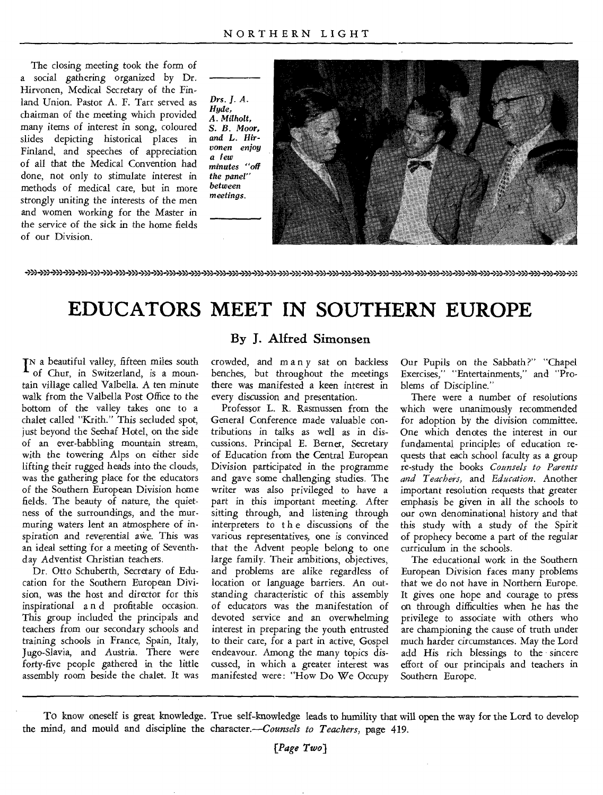The closing meeting took the form of a social gathering organized by Dr. Hirvonen, Medical Secretary of the Finland Union. Pastor A. F. Tarr served as chairman of the meeting which provided many items of interest in song, coloured slides depicting historical places in Finland, and speeches of appreciation of all that the Medical Convention had done, not only to stimulate interest in methods of medical care, but in more strongly uniting the interests of the men and women working for the Master in the service of the sick in the home fields of our Division.

*Drs. 1. A. Hyde, A. Milholt, S. B. Moor, and L. Hirvonen enjoy a few minutes "off the panel" between meetings.* 



))) )) >))))3 ))) ))) ))3 ))) ))) ))) )) ))) n>›,) )n. ))) ))))n))) >)) n) n:4)) )13 n) )), )1) )7Z ))..d)n))/= n) )1) )n=n) ))) ))) n),>) >):

## **EDUCATORS MEET IN SOUTHERN EUROPE**

I<sup>N</sup> a beautiful valley, fifteen miles south<br> **I** of Chur, in Switzerland, is a mounof Chur, in Switzerland, is a mountain village called Valbella. A ten minute walk from the Valbella Post Office to the bottom of the valley takes one to a chalet called "Krith." This secluded spot, just beyond the Seehaf Hotel, on the side of an ever-babbling mountain stream, with the towering Alps on either side lifting their *rugged* heads into the clouds, was the gathering place for the educators of the Southern European Division home fields. The beauty of nature, the quietness of the surroundings, and the murmuring waters lent an atmosphere of inspiration and reverential awe. This was an ideal setting for a meeting of Seventhday Adventist Christian teachers.

Dr. Otto Schuberth, Secretary of Education for the Southern European Division, was the host and director for this inspirational a n d profitable occasion. This group included the principals and teachers from our secondary schools and training schools in France, Spain, Italy, Jugo-Slavia, and Austria. There were forty-five people gathered in the little assembly room beside the chalet. It was

## **By J. Alfred Simonsen**

crowded, and many sat on backless benches, but throughout the meetings there was manifested a keen interest in every discussion and presentation.

Professor L. R. Rasmussen from the General Conference made valuable contributions in talks as well as in discussions. Principal E. Berner, Secretary of Education from the Central European Division participated in the programme and gave some challenging studies. The writer was also privileged to have a part in this important meeting. After sitting through, and listening through interpreters to the discussions of the various representatives, one is convinced that the Advent people belong to one large family. Their ambitions, objectives, and problems are alike regardless of location or language barriers. An outstanding characteristic of this assembly of educators was the manifestation of devoted service and an overwhelming interest in preparing the youth entrusted to their care, for a part in active, Gospel endeavour. Among the many topics discussed, in which a greater interest was manifested were: "How Do We Occupy

Our Pupils on the Sabbath ?" "Chapel Exercises," "Entertainments," and "Problems of Discipline."

There were a number of resolutions which were unanimously recommended for adoption by the division committee. One which denotes the interest in our fundamental principles of education requests that each school faculty as a group re-study the books *Counsels to Parents and Teachers,* and *Education.* Another important resolution requests that greater emphasis be given in all the schools to our own denominational history and that this study with a study of the Spirit of prophecy become a part of the regular curriculum in the schools.

The educational work in the Southern European Division faces many problems that we do not have in Northern Europe. It gives one hope and courage to press on through difficulties when he has the privilege to associate with others who are championing the cause of truth under much harder circumstances. May the Lord add His rich blessings to the sincere effort of our principals and teachers in Southern Europe.

TO know oneself is great knowledge. True self-knowledge leads to humility that will open the way for the Lord to develop the mind, and mould and discipline the character.—Counsels *to Teachers,* page 419.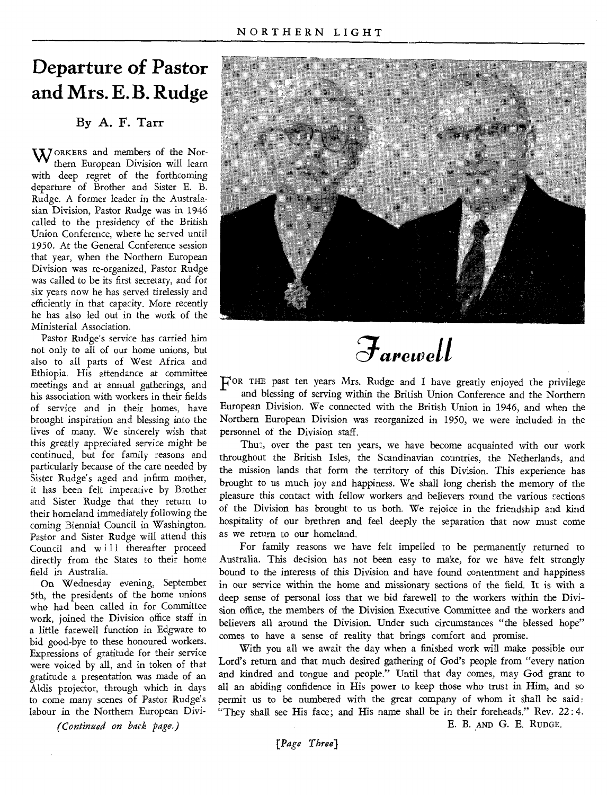## **Departure of Pastor and Mrs. E. B. Rudge**

## By A. F. Tarr

WORKERS and members of the Northern European Division will learn with deep regret of the forthcoming departure of Brother and Sister E. B. Rudge. A former leader in the Australasian Division, Pastor Rudge was in 1946 called to the presidency of the British Union Conference, where he served until 1950. At the General Conference session that year, when the Northern European Division was re-organized, Pastor Rudge was called to be its first secretary, and for six years now he has served tirelessly and efficiently in that capacity. More recently he has also led out in the work of the Ministerial Association.

Pastor Rudge's service has carried him not only to all of our home unions, but also to all parts of West Africa and Ethiopia. His attendance at committee meetings and at annual gatherings, and his association with workers in their fields of service and in their homes, have brought inspiration and blessing into the lives of many. We sincerely wish that this greatly appreciated service might be continued, but for family reasons and particularly because of the care needed by Sister Rudge's aged and infirm mother, it has been felt imperative by Brother and Sister Rudge that they return to their homeland immediately following the coming Biennial Council in Washington. Pastor and Sister Rudge will attend this Council and will thereafter proceed directly from the States to their home field in Australia.

On Wednesday evening, September 5th, the presidents of the home unions who had been called in for Committee work, joined the Division office staff in a little farewell function in Edgware to bid good-bye to these honoured workers. Expressions of gratitude for their service were voiced by all, and in token of that gratitude a presentation was made of an Aldis projector, through which in days to come many scenes of Pastor Rudge's labour in the Northern European Divi-

*(Continued on back page.)* 



*arewell* 

FOR THE past ten years Mrs. Rudge and I have greatly enjoyed the privilege and blessing of serving within the British Union Conference and the Northern European Division. We connected with the British Union in 1946, and when the Northern European Division was reorganized in 1950, we were included in the personnel of the Division staff.

Thus, over the past ten years, we have become acquainted with our work throughout the British Isles, the Scandinavian countries, the Netherlands, and the mission lands that form the territory of this Division. This experience has brought to us much joy and happiness. We shall long cherish the memory of the pleasure this contact with fellow workers and believers round the various sections of the Division has brought to us both. We rejoice in the friendship and kind hospitality of our brethren and feel deeply the separation that now must come as we return to our homeland.

For family reasons we have felt impelled to be permanently returned to Australia. This decision has not been easy to make, for we have felt strongly bound to the interests of this Division and have found contentment and happiness in our service within the home and missionary sections of the field. It is with a deep sense of personal loss that we bid farewell to the workers within the Division office, the members of the Division Executive Committee and the workers and believers all around the Division. Under such circumstances "the blessed hope" comes to have a sense of reality that brings comfort and promise.

With you all we await the day when a finished work will make possible our Lord's return and that much desired gathering of God's people from "every nation and kindred and tongue and people." Until that day comes, may God grant to all an abiding confidence in His power to keep those who trust in Him, and so permit us to be numbered with the great company of whom it shall be said: "They shall see His face; and His name shall be in their foreheads." Rev. 22:4.

E. B. AND G. E. RUDGE.

*[Page Three)*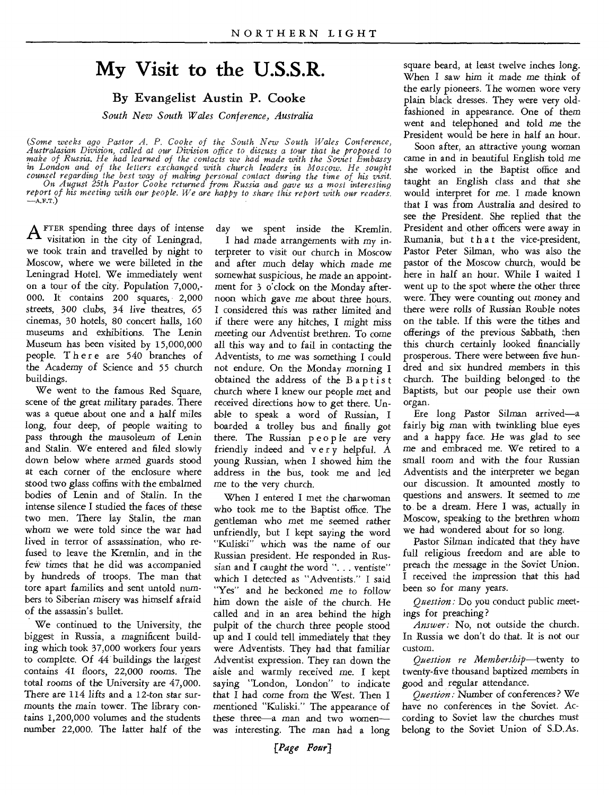## **My Visit to the U.S.S.R.**

## By Evangelist Austin **P.** Cooke

*South New South Wales Conference, Australia* 

*(Some weeks ago Pastor A. P. Cooke of the South New South Wales Conference,*  Australasian Division, called at our Division office to discuss a tour that he proposed to<br>make of Russia. He had learned of the contacts we had made with the Soviet Embassy<br>in London and of the letters exchanged with chur counsel regarding the best way of making personal contact during the time of his visit.<br>On August 25th Pastor Cooke returned from Russia and gave us a most interesting<br>report of his meeting with our people. We are happy to

A FTER spending three days of intense<br>visitation in the city of Leningrad, visitation in the city of Leningrad, we took train and travelled by night to Moscow, where we were billeted in the Leningrad Hotel. We immediately went on a tour of the city. Population 7,000,- 000. It contains 200 squares, 2,000 streets, 300 clubs, 34 live theatres, 65 cinemas, 30 hotels, 80 concert halls, 160 museums and exhibitions. The Lenin Museum has been visited by 15,000,000 people. There are 540 branches of the Academy of Science and 55 church buildings.

We went to the famous Red Square, scene of the great military parades. There was a queue about one and a half miles long, four deep, of people waiting to pass through the *mausoleum* of Lenin and Stalin. We entered and filed slowly down below where armed guards stood at each corner of the enclosure where stood two glass coffins with the embalmed bodies of Lenin and of Stalin. In the intense silence I studied the faces of these two men. There lay Stalin, the man whom we were told since the war had lived in terror of assassination, who refused to leave the Kremlin, and in the few times that he did was accompanied by hundreds of troops. The man that tore apart families and sent untold numbers to Siberian misery was himself afraid of the assassin's bullet.

We continued to the University, the biggest in Russia, a magnificent building which took 37,000 workers four years to complete. Of 44 buildings the largest contains 41 floors, 22,000 rooms. The total rooms of the University are 47,000. There are 114 lifts and a 12-ton star surmounts the main tower. The library contains 1,200,000 volumes and the students number 22,000. The latter half of the

day we spent inside the Kremlin.

I had made arrangements with my interpreter to visit our church in Moscow and after much delay which made me somewhat suspicious, he made an appointment for 3 o'clock on the Monday afternoon which gave me about three hours. I considered this was rather limited and if there were any hitches, I might miss meeting our Adventist brethren. To *come*  all this way and to fail in contacting the Adventists, to me was something I could not endure. On the Monday morning I obtained the address of the Baptist church where I knew our people met and received directions how to get there. Unable to speak a word of Russian, I boarded a trolley bus and finally got there. The Russian people are very friendly indeed and v e r y helpful. A young Russian, when I showed him the address in the bus, took me and led me to the very church.

When I entered I met the charwoman who took me to the Baptist office. The gentleman who met me seemed rather unfriendly, but I kept saying the word "Kuliski" which was the name of our Russian president. He responded in Russian and I caught the word ". . . ventiste" which I detected as "Adventists." I said "Yes" and he beckoned me to follow him down the aisle of the church. He called and in an area behind the high pulpit of the church three people stood up and I could tell immediately that they were Adventists. They had that familiar Adventist expression. They ran down the aisle and warmly received me. I kept saying "London, London" to indicate that I had come from the West. Then I mentioned "Kuliski." The appearance of these three—a man and two women was interesting. The man had a long

square beard, at least twelve inches long. When I saw him it made me think of the early pioneers. The women wore very plain black dresses. They were very oldfashioned in appearance. One of them went and telephoned and told me the President would be here in half an hour.

Soon after, an attractive young woman came in and in beautiful English told me she worked in the Baptist office and taught an English class and that she would interpret for me. I made known that I was from Australia and desired to see the President. She replied that the President and other officers were away in Rumania, but that the vice-president, Pastor Peter Silman, who was also the pastor of the Moscow church, would be here in half an hour. While I waited I went up to the spot where the other three were. They were counting out money and there were rolls of Russian Rouble notes on the table. If this were the tithes and offerings of the previous Sabbath, then this church certainly looked financially prosperous. There were between five hundred and six hundred members in this church. The building belonged to the Baptists, but our people use their own organ.

Ere long Pastor Silman arrived—a fairly big man with twinkling blue eyes and a happy face. He was glad to see me and embraced me. We retired to a small room and with the four Russian Adventists and the interpreter we began our discussion. It amounted mostly to questions and answers. It seemed to me to be a dream. Here I was, actually in Moscow, speaking to the brethren whom we had wondered about for so long.

Pastor Silman indicated that they have full religious freedom and are able to preach the message in the Soviet Union. I received the impression that this had been so for many years.

*Question:* Do you conduct public meetings for preaching?

*Answer:* No, not outside the church. In Russia we don't do that. It is not our custom.

*Question re Membership—twenty* to twenty-five thousand baptized members in good and regular attendance.

*Question.'* Number of conferences? We have no conferences in the Soviet. According to Soviet law the churches must belong to the Soviet Union of S.D.As.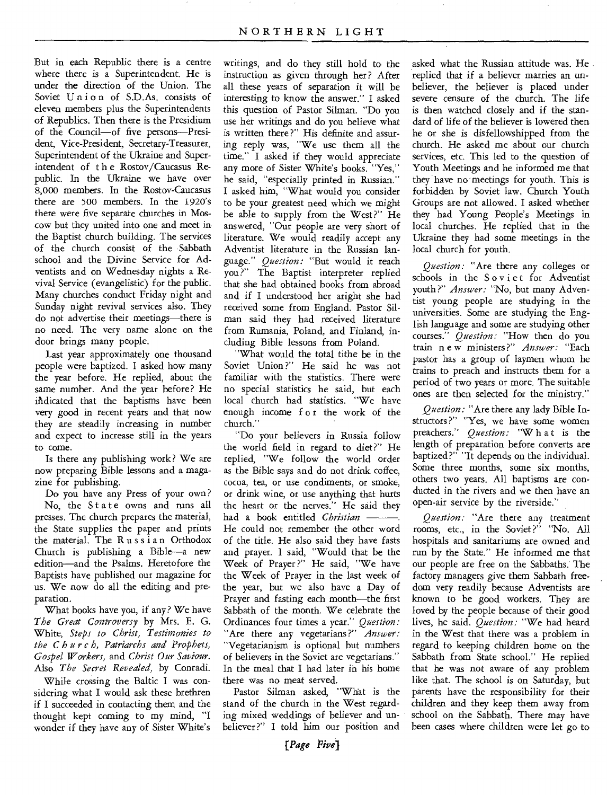But in each Republic there is a centre where there is a Superintendent. He is under the direction of the Union. The Soviet Union of S.D.As. consists of eleven members plus the Superintendents of Republics. Then there is the Presidium of the Council—of five persons—President, Vice-President, Secretary-Treasurer, Superintendent of the Ukraine and Superintendent of t h e Rostov/Caucasus Republic. In the Ukraine we have over 8,000 members. In the Rostov-Caucasus there are 500 members. In the 1920's there were five separate churches in Moscow but they united into one and meet in the Baptist church building. The services of the church consist of the Sabbath school and the Divine Service for Adventists and on Wednesday nights a Revival Service (evangelistic) for the public. Many churches conduct Friday night and Sunday night revival services also. They do not advertise their meetings—there is no need. The very name alone on the door brings many people.

Last year approximately one thousand people were baptized. I asked how many the year before. He replied, about the same number. And the year before? He indicated that the baptisms have been very good in recent years and that now they are steadily increasing in number and expect to increase still in the years to come.

Is there any publishing work? We are now preparing Bible lessons and a magazine for publishing.

Do you have any Press of your own ? No, the State owns and runs all presses. The church prepares the material, the State supplies the paper and prints the material. The Russian Orthodox Church is publishing a Bible—a new edition—and the Psalms. Heretofore the Baptists have published our magazine for us. We now do all the editing and preparation.

What books have you, if any? We have *The Great Controversy* by Mrs. E. G. White, *Steps to Christ, Testimonies to the Char c h, Patriarchs and Prophets, Gospel Workers,* and *Christ Our Saviour.*  Also *The Secret Revealed,* by Conradi.

While crossing the Baltic I was considering what I would ask these brethren if I succeeded in contacting them and the thought kept coming to my mind, "I wonder if they have any of Sister White's

writings, and do they still hold to the instruction as given through her? After all these years of separation it will be interesting to know the answer." I asked this question of Pastor Silman. "Do you use her writings and do you believe what is written there?" His definite and assuring reply was, "We use them all the time." I asked if they would appreciate any more of Sister White's books. "Yes," he said, "especially printed in Russian." I asked him, "What would you consider to be your greatest need which we might be able to supply from the West?" He answered, "Our people are very short of literature. We would readily accept any Adventist literature in the Russian language." *Question:* "But would it reach you?" The Baptist interpreter replied that she had obtained books from abroad and if I understood her aright she had received some from England. Pastor Silman said they had received literature from Rumania, Poland, and Finland, including Bible lessons from Poland.

"What would the total tithe be in the Soviet Union?" He said he was not familiar with the statistics. There were no special statistics he said, but each local church had statistics. "We have enough income f o r the work of the church."

"Do your believers in Russia follow the world field in regard to diet?" He replied, "We follow the world order as the Bible says and do not drink coffee, cocoa, tea, or use condiments, or smoke, or drink wine, or use anything that hurts the heart or the nerves." He said they had a book entitled *Christian*  He could not remember the other word of the title. He also said they have fasts and prayer. I said, "Would that be the Week of Prayer ?" He said, "We have the Week of Prayer in the last week of the year, but we also have a Day of Prayer and fasting each month—the first Sabbath of the month. We celebrate the Ordinances four times a year." *Question:*  "Are there any vegetarians ?" *Answer:*  "Vegetarianism is optional but numbers of believers in the Soviet are vegetarians." In the meal that I had later in his home there was no meat served.

Pastor Silman asked, "What is the stand of the church in the West regarding mixed weddings of believer and unbeliever?" I told him our position and

asked what the Russian attitude was. He replied that if a believer marries an unbeliever, the believer is placed under severe censure of the church. The life is then watched closely and if the standard of life of the believer is lowered then he or she is disfellowshipped from the church. He asked me about our church services, etc. This led to the question of Youth Meetings and he informed me that they have no meetings for youth. This is forbidden by Soviet law. Church Youth Groups are not allowed. I asked whether they had Young People's Meetings in local churches. He replied that in the Ukraine they had some meetings in the local church for youth.

*Question:* "Are there any colleges or schools in the Soviet for Adventist youth?" *Answer:* "No, but many Adventist young people are studying in the universities. Some are studying the English language and some are studying other courses." *Question:* "How then do you train n e w ministers ?" *Answer:* "Each pastor has a group of laymen whom he trains to preach and instructs them for a period of two years or more. The suitable ones are then selected for the ministry."

*Question:* "Are there any lady Bible Instructors ?" "Yes, we have some women preachers." *Question:* "W h a t is the length of preparation before converts are baptized?" "It depends on the individual. Some three months, some six months, others two years. All baptisms are conducted in the rivers and we then have an open-air service by the riverside."

*Question:* "Are there any treatment rooms, etc., in the Soviet?" "No. All hospitals and sanitariums are owned and run by the State." He informed me that our people are free on the Sabbaths: The factory managers give them Sabbath freedom very readily because Adventists are known to be good workers. They are loved by the people because of their good lives, he said. *Question:* "We had heard in the West that there was a problem in regard to keeping children home on the Sabbath from State school." He replied that he was not aware of any problem like that. The school is on Saturday, but parents have the responsibility for their children and they keep them away from school on the Sabbath. There may have been cases where children were let go to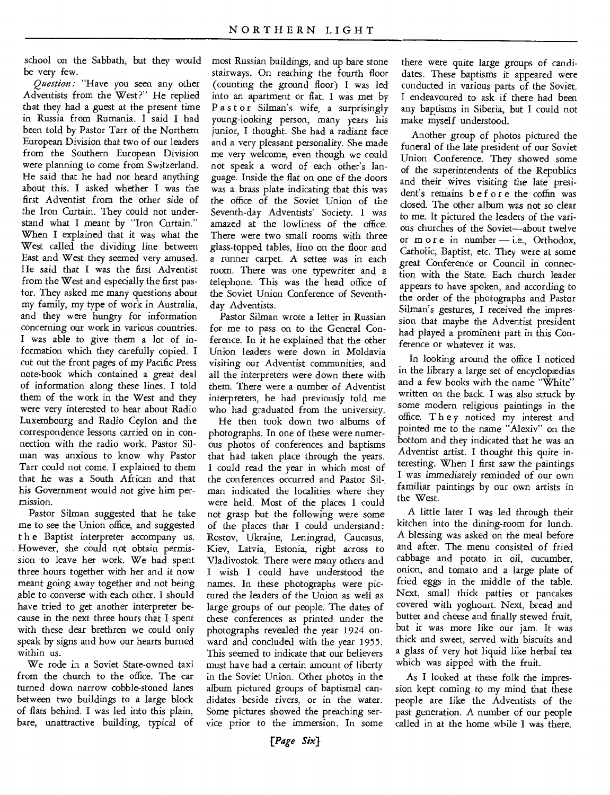school on the Sabbath, but they would be very few.

*Question:* "Have you seen any other Adventists from the West?" He replied that they had a guest at the present time in Russia from Rumania. I said I had been told by Pastor Tarr of the Northern European Division that two of our leaders from the Southern European Division were planning to come from Switzerland. He said that he had not heard anything about this. I asked whether I was the first Adventist from the other side of the Iron Curtain. They could not understand what I meant by "Iron Curtain." When I explained that it was what the West called the dividing line between East and West they seemed very amused. He said that I was the first Adventist from the West and especially the first pastor. They asked me many questions about my family, my type of work in Australia, and they were hungry for information concerning our work in various countries. I was able to give them a lot of information which they carefully copied. I cut out the front pages of my Pacific Press note-book which contained a great deal of information along these lines. I told them of the work in the West and they were very interested to hear about Radio Luxembourg and Radio Ceylon and the correspondence lessons carried on in connection with the radio work. Pastor Silman was anxious to know why Pastor Tarr could not come. I explained to them that he was a South African and that his Government would not give him permission.

Pastor Silman suggested that he take me to see the Union office, and suggested t h e Baptist interpreter accompany us. However, she could not obtain permission to leave her work. We had spent three hours together with her and it now meant going away together and not being able to converse with each other. I should have tried to get another interpreter because in the next three hours that I spent with these dear brethren we could only speak by signs and how our hearts burned within us.

We rode in a Soviet State-owned taxi from the church to the office. The car turned down narrow cobble-stoned lanes between two buildings to a large block of flats behind. I was led into this plain, bare, unattractive building, typical of

most Russian buildings, and up bare stone stairways. On reaching the fourth floor (counting the ground floor) I was led into an apartment or flat. I was met by Pastor Silman's wife, a surprisingly young-looking person, many years his junior, I thought. She had a radiant face and a very pleasant personality. She made me very welcome, even though we could not speak a word of each other's language. Inside the flat on one of the doors was a brass plate indicating that this was the office of the Soviet Union of the Seventh-day Adventists' Society. I was amazed at the lowliness of the office. There were two small rooms with three glass-topped tables, lino on the floor and a runner carpet. A settee was in each room. There was one typewriter and a telephone. This was the head office of the Soviet Union Conference of Seventhday Adventists.

Pastor Silman wrote a letter in Russian for me to pass on to the General Conference. In it he explained that the other Union leaders were down in Moldavia visiting our Adventist communities, and all the interpreters were down there with them. There were a number of Adventist interpreters, he had previously told me who had graduated from the university.

He then took down two albums of photographs. In one of these were numerous photos of conferences and baptisms that had taken place through the years. I could read the year in which most of the conferences occurred and Pastor Silman indicated the localities where they were held. Most of the places I could not grasp but the following were some of the places that I could understand : Rostov, Ukraine, Leningrad, Caucasus, Kiev, Latvia, Estonia, right across to Vladivostok. There were many others and I wish I could have understood the names. In these photographs were pictured the leaders of the Union as well as large groups of our people. The dates of these conferences as printed under the photographs revealed the year 1924 onward and concluded with the year 1955. This seemed to indicate that our believers must have had a certain amount of liberty in the Soviet Union. Other photos in the album pictured groups of baptismal candidates beside rivers, or in the water. Some pictures showed the preaching service prior to the immersion. In some

there were quite large groups of candidates. These baptisms it appeared were conducted in various parts of the Soviet. I endeavoured to ask if there had been any baptisms in Siberia, but I could not make myself understood.

Another group of photos pictured the funeral of the late president of our Soviet Union Conference. They showed some of the superintendents of the Republics and their wives visiting the late president's remains b e f or e the coffin was closed. The other album was not so clear to me. It pictured the leaders of the various churches of the Soviet—about twelve or more in number — i.e., Orthodox, Catholic, Baptist, etc. They were at some great Conference or Council in connection with the State. Each church leader appears to have spoken, and according to the order of the photographs and Pastor Silman's gestures, I received the impression that maybe the Adventist president had played a prominent part in this Conference or whatever it was.

In looking around the office I noticed in the library a large set of encyclopædias and a few books with the name "White" written on the back. I was also struck by some modern religious paintings in the office. They noticed my interest and pointed me to the name "Alexiv" on the bottom and they indicated that he was an Adventist artist. I thought this quite interesting. When I first saw the paintings I was immediately *reminded* of our own familiar paintings by our own artists in the West.

A little later I was led through their kitchen into the dining-room for lunch. A blessing was asked on the meal before and after. The menu consisted of fried cabbage and potato in oil, cucumber, onion, and tomato and a large plate of fried eggs in the middle of the table. Next, small thick patties or pancakes covered with yoghourt. Next, bread and butter and cheese and finally stewed fruit, but it was more like our jam. It was thick and sweet, served with biscuits and a glass of very hot liquid like herbal tea which was sipped with the fruit.

As I looked at these folk the impression kept coming to my mind that these people are like the Adventists of the past generation. A number of our people called in at the home while I was there.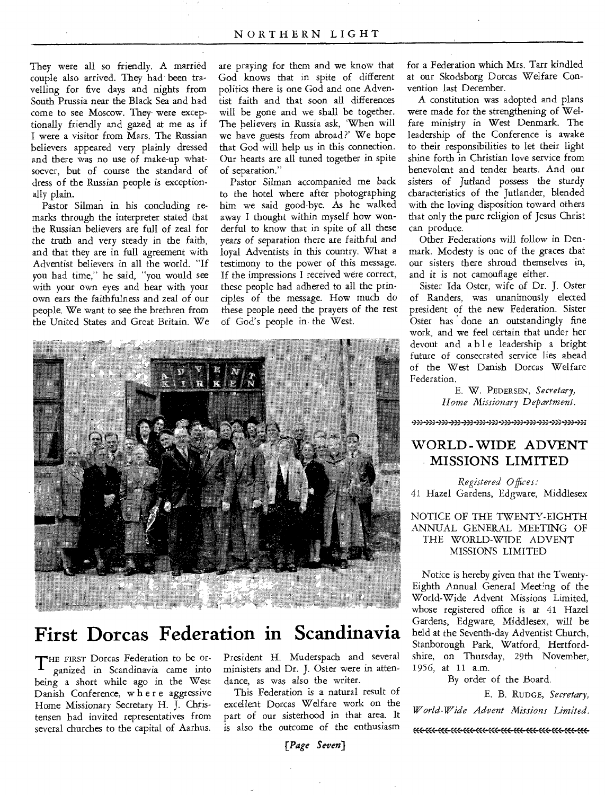They were all so friendly. A married couple also arrived. They had been travelling for five days and nights from South Prussia near the Black Sea and had come to see Moscow. They were exceptionally friendly and gazed at me as if I were a visitor from Mars. The Russian believers appeared very plainly dressed and there was no use of make-up whatsoever, but of course the standard of dress of the Russian people is exceptionally plain.

Pastor Silman in. his concluding remarks through the interpreter stated that the Russian believers are full of zeal for the truth and very steady in the faith, and that they are in full agreement with Adventist believers in all the world. "If you had time," he said, "you would see with your own eyes and hear with your own ears the faithfulness and zeal of our people. We want to see the brethren from the United States and Great Britain. We are praying for them and we know that God knows that in spite of different politics there is one God and one Adventist faith and that soon all differences will be gone and we shall be together. The believers in Russia ask, 'When will we have guests from abroad?' We hope that God will help us in this connection. Our hearts are all tuned together in spite of separation."

Pastor Silman accompanied me back to the hotel where after photographing him we said good-bye. As he walked away I thought within myself how wonderful to know that in spite of all these years of separation there are faithful and loyal Adventists in this country. What a testimony to the power of this message. If the impressions I received were correct, these people had adhered to all the principles of the message. How much do these people need the prayers of the rest of God's people in the West.



## **First Dorcas Federation in Scandinavia**

THE FIRST Dorcas Federation to be or-<br>ganized in Scandinavia came into ganized in Scandinavia came into being a short while ago in the West Danish Conference, w h e r e aggressive Home Missionary Secretary H. J. Christensen had invited representatives from several churches to the capital of Aarhus.

President H. Muderspach and several ministers and Dr. J. Oster were in attendance, as was also the writer.

This Federation is a natural result of excellent Dorcas Welfare work on the part of our sisterhood in that area. It is also the outcome of the enthusiasm

*[Page Seven)* 

for a Federation which Mrs. Tarr kindled at our Skodsborg Dorcas Welfare Convention last December.

A constitution was adopted and plans were made for the strengthening of Welfare ministry in West Denmark. The leadership of the Conference is awake to their responsibilities to let their light shine forth in Christian love service from benevolent and tender hearts. And our sisters of Jutland possess the sturdy characteristics of the Jutlander, blended with the loving disposition toward others that only the pure religion of Jesus Christ can produce.

Other Federations will follow in Denmark. Modesty is one of the graces that our sisters there shroud themselves in, and it is not camouflage either.

Sister Ida Oster, wife of Dr. J. Oster of Randers, was unanimously elected president of the new Federation. Sister Oster has done an outstandingly fine work, and we feel certain that under her devout and able leadership a bright future of consecrated service lies ahead of the West Danish Dorcas Welfare Federation.

> E. W. PEDERSEN, *Secretary, Home Missionary Department.*

3)3 3)3 3)3 3)3 3)3 333-3)3 333-33)43) 3)3 3)3 >X

## WORLD - WIDE ADVENT MISSIONS LIMITED

*Registered Offices:*  41 Hazel Gardens, Edgware, Middlesex

NOTICE OF THE TWENTY-EIGHTH ANNUAL GENERAL MEETING OF THE WORLD-WIDE ADVENT MISSIONS LIMITED

Notice is hereby given that the Twenty-Eighth Annual General Meeting of the World-Wide Advent Missions Limited, whose registered office is at 41 Hazel Gardens, Edgware, Middlesex, will be held at the Seventh-day Adventist Church, Stanborough Park, Watford, Hertfordshire, on Thursday, 29th November, 1956, at 11 a.m.

#### By order of the Board.

E. B. RUDGE, *Secretary,* 

*World-Wide Advent Missions Limited.* 

:'<-CCC CCC CC< CC< CCC CC< C<C C<C CC< CCC C<<-CCC «<-